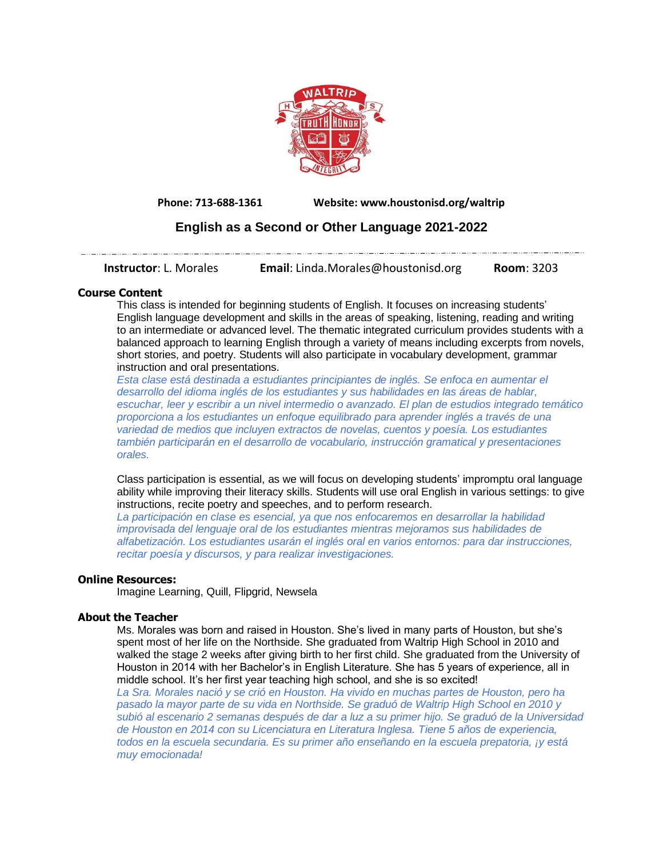

**Phone: 713-688-1361 Website: www.houstonisd.org/waltrip**

# **English as a Second or Other Language 2021-2022**

**Instructor**: L. Morales **Email**: Linda.Morales@houstonisd.org **Room**: 3203

# **Course Content**

This class is intended for beginning students of English. It focuses on increasing students' English language development and skills in the areas of speaking, listening, reading and writing to an intermediate or advanced level. The thematic integrated curriculum provides students with a balanced approach to learning English through a variety of means including excerpts from novels, short stories, and poetry. Students will also participate in vocabulary development, grammar instruction and oral presentations.

*Esta clase está destinada a estudiantes principiantes de inglés. Se enfoca en aumentar el desarrollo del idioma inglés de los estudiantes y sus habilidades en las áreas de hablar, escuchar, leer y escribir a un nivel intermedio o avanzado. El plan de estudios integrado temático proporciona a los estudiantes un enfoque equilibrado para aprender inglés a través de una variedad de medios que incluyen extractos de novelas, cuentos y poesía. Los estudiantes también participarán en el desarrollo de vocabulario, instrucción gramatical y presentaciones orales.*

Class participation is essential, as we will focus on developing students' impromptu oral language ability while improving their literacy skills. Students will use oral English in various settings: to give instructions, recite poetry and speeches, and to perform research.

*La participación en clase es esencial, ya que nos enfocaremos en desarrollar la habilidad improvisada del lenguaje oral de los estudiantes mientras mejoramos sus habilidades de alfabetización. Los estudiantes usarán el inglés oral en varios entornos: para dar instrucciones, recitar poesía y discursos, y para realizar investigaciones.*

# **Online Resources:**

Imagine Learning, Quill, Flipgrid, Newsela

#### **About the Teacher**

Ms. Morales was born and raised in Houston. She's lived in many parts of Houston, but she's spent most of her life on the Northside. She graduated from Waltrip High School in 2010 and walked the stage 2 weeks after giving birth to her first child. She graduated from the University of Houston in 2014 with her Bachelor's in English Literature. She has 5 years of experience, all in middle school. It's her first year teaching high school, and she is so excited!

*La Sra. Morales nació y se crió en Houston. Ha vivido en muchas partes de Houston, pero ha pasado la mayor parte de su vida en Northside. Se graduó de Waltrip High School en 2010 y subió al escenario 2 semanas después de dar a luz a su primer hijo. Se graduó de la Universidad de Houston en 2014 con su Licenciatura en Literatura Inglesa. Tiene 5 años de experiencia, todos en la escuela secundaria. Es su primer año enseñando en la escuela prepatoria, ¡y está muy emocionada!*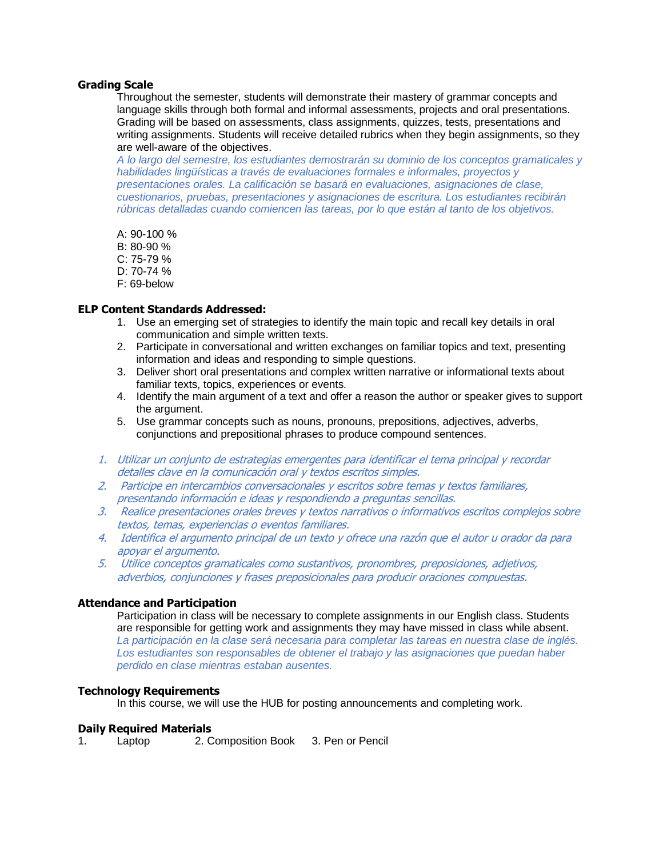## **Grading Scale**

Throughout the semester, students will demonstrate their mastery of grammar concepts and language skills through both formal and informal assessments, projects and oral presentations. Grading will be based on assessments, class assignments, quizzes, tests, presentations and writing assignments. Students will receive detailed rubrics when they begin assignments, so they are well-aware of the objectives.

*A lo largo del semestre, los estudiantes demostrarán su dominio de los conceptos gramaticales y habilidades lingüísticas a través de evaluaciones formales e informales, proyectos y presentaciones orales. La calificación se basará en evaluaciones, asignaciones de clase, cuestionarios, pruebas, presentaciones y asignaciones de escritura. Los estudiantes recibirán rúbricas detalladas cuando comiencen las tareas, por lo que están al tanto de los objetivos.*

A: 90-100 %

- B: 80-90 %
- C: 75-79 %
- D: 70-74 %
- F: 69-below

# **ELP Content Standards Addressed:**

- 1. Use an emerging set of strategies to identify the main topic and recall key details in oral communication and simple written texts.
- 2. Participate in conversational and written exchanges on familiar topics and text, presenting information and ideas and responding to simple questions.
- 3. Deliver short oral presentations and complex written narrative or informational texts about familiar texts, topics, experiences or events.
- 4. Identify the main argument of a text and offer a reason the author or speaker gives to support the argument.
- 5. Use grammar concepts such as nouns, pronouns, prepositions, adjectives, adverbs, conjunctions and prepositional phrases to produce compound sentences.
- 1. Utilizar un conjunto de estrategias emergentes para identificar el tema principal y recordar detalles clave en la comunicación oral y textos escritos simples.
- 2. Participe en intercambios conversacionales y escritos sobre temas y textos familiares, presentando información e ideas y respondiendo a preguntas sencillas.
- 3. Realice presentaciones orales breves y textos narrativos o informativos escritos complejos sobre textos, temas, experiencias o eventos familiares.
- 4. Identifica el argumento principal de un texto y ofrece una razón que el autor u orador da para apoyar el argumento.
- 5. Utilice conceptos gramaticales como sustantivos, pronombres, preposiciones, adjetivos, adverbios, conjunciones y frases preposicionales para producir oraciones compuestas.

#### **Attendance and Participation**

Participation in class will be necessary to complete assignments in our English class. Students are responsible for getting work and assignments they may have missed in class while absent. *La participación en la clase será necesaria para completar las tareas en nuestra clase de inglés. Los estudiantes son responsables de obtener el trabajo y las asignaciones que puedan haber perdido en clase mientras estaban ausentes.*

#### **Technology Requirements**

In this course, we will use the HUB for posting announcements and completing work.

#### **Daily Required Materials**

1. Laptop 2. Composition Book 3. Pen or Pencil